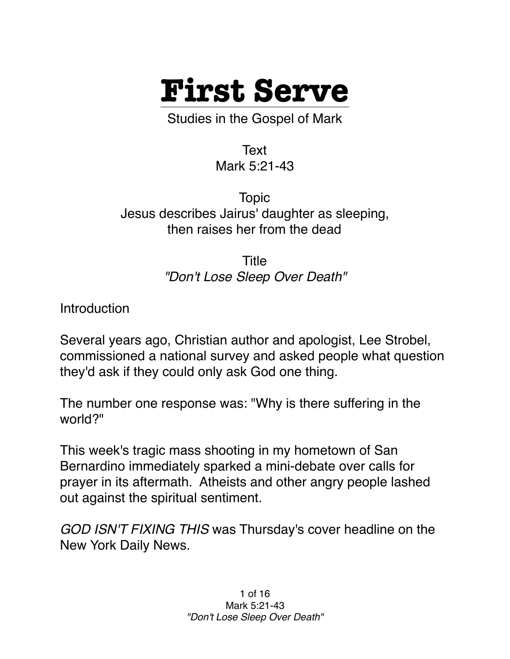

Studies in the Gospel of Mark

Text Mark 5:21-43

Topic Jesus describes Jairus' daughter as sleeping, then raises her from the dead

> Title *"Don't Lose Sleep Over Death"*

**Introduction** 

Several years ago, Christian author and apologist, Lee Strobel, commissioned a national survey and asked people what question they'd ask if they could only ask God one thing.

The number one response was: "Why is there suffering in the world?"

This week's tragic mass shooting in my hometown of San Bernardino immediately sparked a mini-debate over calls for prayer in its aftermath. Atheists and other angry people lashed out against the spiritual sentiment.

*GOD ISN'T FIXING THIS* was Thursday's cover headline on the New York Daily News.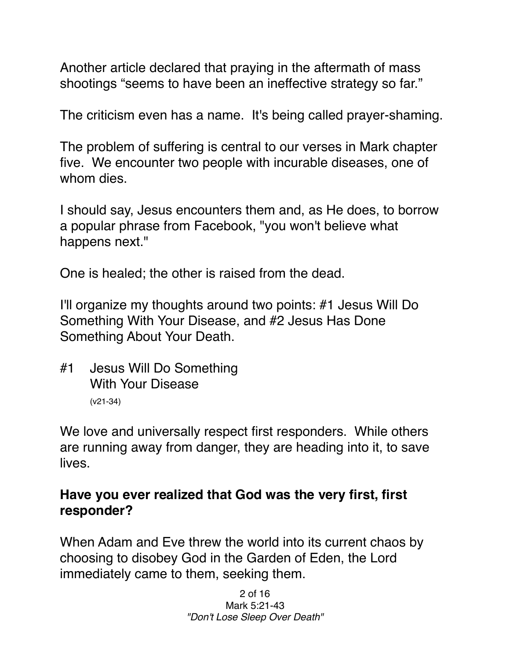Another article declared that praying in the aftermath of mass shootings "seems to have been an ineffective strategy so far."

The criticism even has a name. It's being called prayer-shaming.

The problem of suffering is central to our verses in Mark chapter five. We encounter two people with incurable diseases, one of whom dies.

I should say, Jesus encounters them and, as He does, to borrow a popular phrase from Facebook, "you won't believe what happens next."

One is healed; the other is raised from the dead.

I'll organize my thoughts around two points: #1 Jesus Will Do Something With Your Disease, and #2 Jesus Has Done Something About Your Death.

#1 Jesus Will Do Something With Your Disease (v21-34)

We love and universally respect first responders. While others are running away from danger, they are heading into it, to save lives.

## **Have you ever realized that God was the very first, first responder?**

When Adam and Eve threw the world into its current chaos by choosing to disobey God in the Garden of Eden, the Lord immediately came to them, seeking them.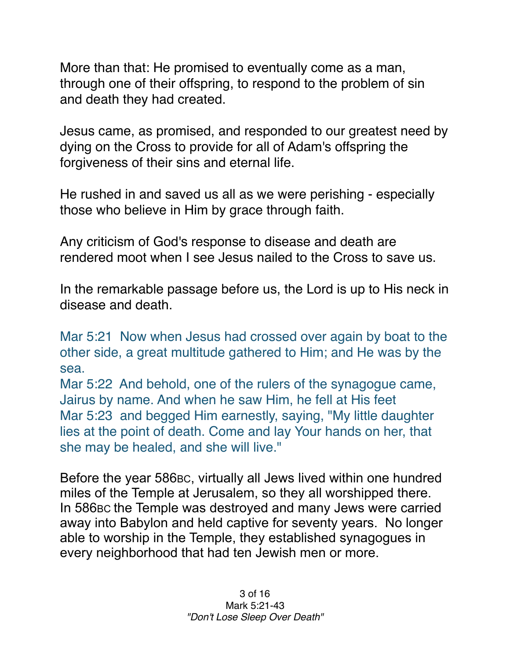More than that: He promised to eventually come as a man, through one of their offspring, to respond to the problem of sin and death they had created.

Jesus came, as promised, and responded to our greatest need by dying on the Cross to provide for all of Adam's offspring the forgiveness of their sins and eternal life.

He rushed in and saved us all as we were perishing - especially those who believe in Him by grace through faith.

Any criticism of God's response to disease and death are rendered moot when I see Jesus nailed to the Cross to save us.

In the remarkable passage before us, the Lord is up to His neck in disease and death.

Mar 5:21 Now when Jesus had crossed over again by boat to the other side, a great multitude gathered to Him; and He was by the sea.

Mar 5:22 And behold, one of the rulers of the synagogue came, Jairus by name. And when he saw Him, he fell at His feet Mar 5:23 and begged Him earnestly, saying, "My little daughter lies at the point of death. Come and lay Your hands on her, that she may be healed, and she will live."

Before the year 586BC, virtually all Jews lived within one hundred miles of the Temple at Jerusalem, so they all worshipped there. In 586BC the Temple was destroyed and many Jews were carried away into Babylon and held captive for seventy years. No longer able to worship in the Temple, they established synagogues in every neighborhood that had ten Jewish men or more.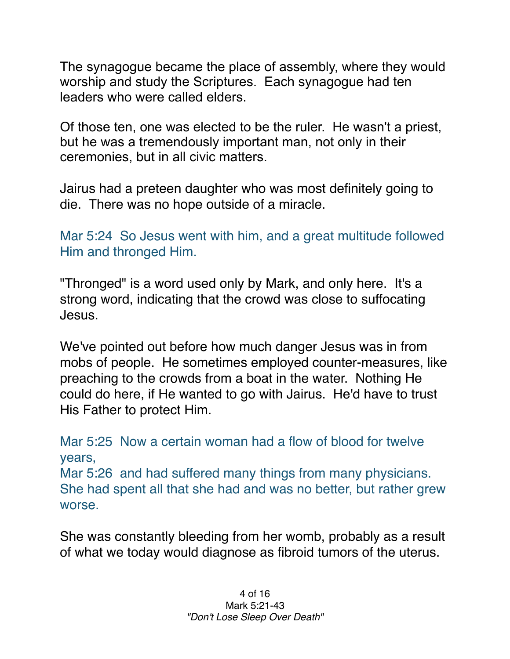The synagogue became the place of assembly, where they would worship and study the Scriptures. Each synagogue had ten leaders who were called elders.

Of those ten, one was elected to be the ruler. He wasn't a priest, but he was a tremendously important man, not only in their ceremonies, but in all civic matters.

Jairus had a preteen daughter who was most definitely going to die. There was no hope outside of a miracle.

Mar 5:24 So Jesus went with him, and a great multitude followed Him and thronged Him.

"Thronged" is a word used only by Mark, and only here. It's a strong word, indicating that the crowd was close to suffocating Jesus.

We've pointed out before how much danger Jesus was in from mobs of people. He sometimes employed counter-measures, like preaching to the crowds from a boat in the water. Nothing He could do here, if He wanted to go with Jairus. He'd have to trust His Father to protect Him.

Mar 5:25 Now a certain woman had a flow of blood for twelve years, Mar 5:26 and had suffered many things from many physicians. She had spent all that she had and was no better, but rather grew worse.

She was constantly bleeding from her womb, probably as a result of what we today would diagnose as fibroid tumors of the uterus.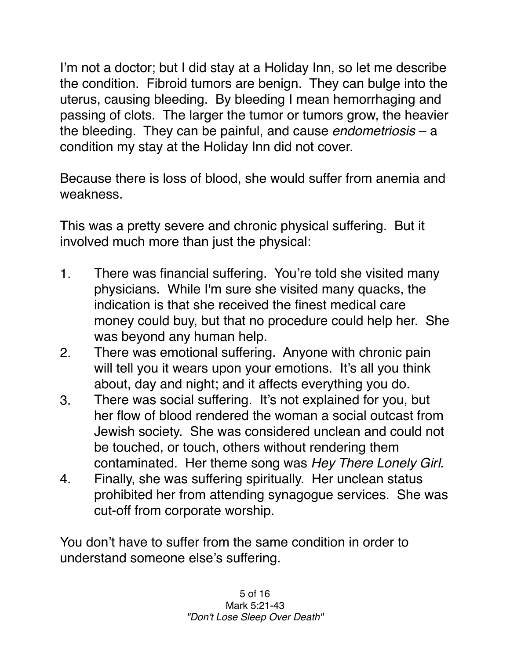I'm not a doctor; but I did stay at a Holiday Inn, so let me describe the condition. Fibroid tumors are benign. They can bulge into the uterus, causing bleeding. By bleeding I mean hemorrhaging and passing of clots. The larger the tumor or tumors grow, the heavier the bleeding. They can be painful, and cause *endometriosis* – a condition my stay at the Holiday Inn did not cover.

Because there is loss of blood, she would suffer from anemia and weakness.

This was a pretty severe and chronic physical suffering. But it involved much more than just the physical:

- 1. There was financial suffering. You're told she visited many physicians. While I'm sure she visited many quacks, the indication is that she received the finest medical care money could buy, but that no procedure could help her. She was beyond any human help.
- 2. There was emotional suffering. Anyone with chronic pain will tell you it wears upon your emotions. It's all you think about, day and night; and it affects everything you do.
- 3. There was social suffering. It's not explained for you, but her flow of blood rendered the woman a social outcast from Jewish society. She was considered unclean and could not be touched, or touch, others without rendering them contaminated. Her theme song was *Hey There Lonely Girl.*
- 4. Finally, she was suffering spiritually. Her unclean status prohibited her from attending synagogue services. She was cut-off from corporate worship.

You don't have to suffer from the same condition in order to understand someone else's suffering.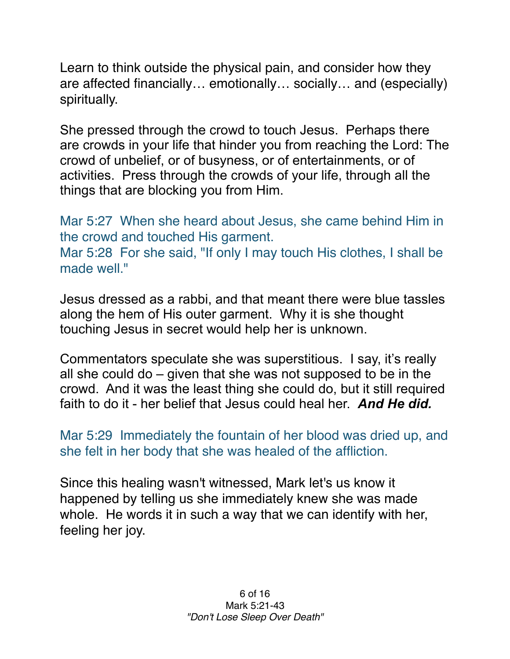Learn to think outside the physical pain, and consider how they are affected financially… emotionally… socially… and (especially) spiritually.

She pressed through the crowd to touch Jesus. Perhaps there are crowds in your life that hinder you from reaching the Lord: The crowd of unbelief, or of busyness, or of entertainments, or of activities. Press through the crowds of your life, through all the things that are blocking you from Him.

Mar 5:27 When she heard about Jesus, she came behind Him in the crowd and touched His garment. Mar 5:28 For she said, "If only I may touch His clothes, I shall be made well."

Jesus dressed as a rabbi, and that meant there were blue tassles along the hem of His outer garment. Why it is she thought touching Jesus in secret would help her is unknown.

Commentators speculate she was superstitious. I say, it's really all she could do – given that she was not supposed to be in the crowd. And it was the least thing she could do, but it still required faith to do it - her belief that Jesus could heal her. *And He did.* 

Mar 5:29 Immediately the fountain of her blood was dried up, and she felt in her body that she was healed of the affliction.

Since this healing wasn't witnessed, Mark let's us know it happened by telling us she immediately knew she was made whole. He words it in such a way that we can identify with her, feeling her joy.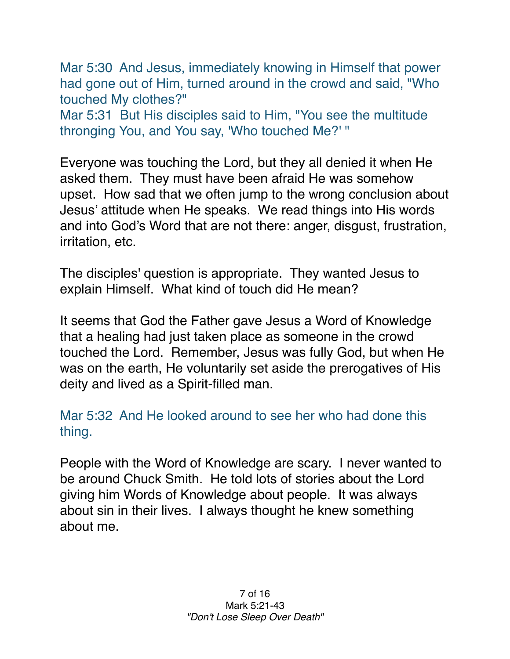Mar 5:30 And Jesus, immediately knowing in Himself that power had gone out of Him, turned around in the crowd and said, "Who touched My clothes?"

Mar 5:31 But His disciples said to Him, "You see the multitude thronging You, and You say, 'Who touched Me?' "

Everyone was touching the Lord, but they all denied it when He asked them. They must have been afraid He was somehow upset. How sad that we often jump to the wrong conclusion about Jesus' attitude when He speaks. We read things into His words and into God's Word that are not there: anger, disgust, frustration, irritation, etc.

The disciples' question is appropriate. They wanted Jesus to explain Himself. What kind of touch did He mean?

It seems that God the Father gave Jesus a Word of Knowledge that a healing had just taken place as someone in the crowd touched the Lord. Remember, Jesus was fully God, but when He was on the earth, He voluntarily set aside the prerogatives of His deity and lived as a Spirit-filled man.

Mar 5:32 And He looked around to see her who had done this thing.

People with the Word of Knowledge are scary. I never wanted to be around Chuck Smith. He told lots of stories about the Lord giving him Words of Knowledge about people. It was always about sin in their lives. I always thought he knew something about me.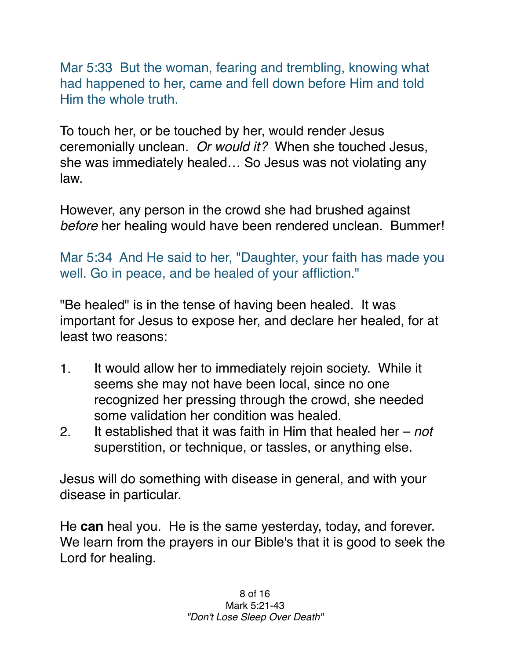Mar 5:33 But the woman, fearing and trembling, knowing what had happened to her, came and fell down before Him and told Him the whole truth.

To touch her, or be touched by her, would render Jesus ceremonially unclean. *Or would it?* When she touched Jesus, she was immediately healed… So Jesus was not violating any law.

However, any person in the crowd she had brushed against *before* her healing would have been rendered unclean. Bummer!

Mar 5:34 And He said to her, "Daughter, your faith has made you well. Go in peace, and be healed of your affliction."

"Be healed" is in the tense of having been healed. It was important for Jesus to expose her, and declare her healed, for at least two reasons:

- 1. It would allow her to immediately rejoin society. While it seems she may not have been local, since no one recognized her pressing through the crowd, she needed some validation her condition was healed.
- 2. It established that it was faith in Him that healed her *not* superstition, or technique, or tassles, or anything else.

Jesus will do something with disease in general, and with your disease in particular.

He **can** heal you. He is the same yesterday, today, and forever. We learn from the prayers in our Bible's that it is good to seek the Lord for healing.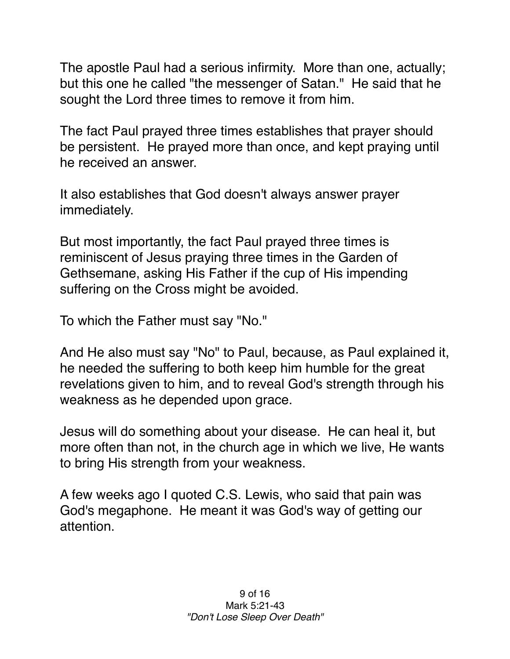The apostle Paul had a serious infirmity. More than one, actually; but this one he called "the messenger of Satan." He said that he sought the Lord three times to remove it from him.

The fact Paul prayed three times establishes that prayer should be persistent. He prayed more than once, and kept praying until he received an answer.

It also establishes that God doesn't always answer prayer immediately.

But most importantly, the fact Paul prayed three times is reminiscent of Jesus praying three times in the Garden of Gethsemane, asking His Father if the cup of His impending suffering on the Cross might be avoided.

To which the Father must say "No."

And He also must say "No" to Paul, because, as Paul explained it, he needed the suffering to both keep him humble for the great revelations given to him, and to reveal God's strength through his weakness as he depended upon grace.

Jesus will do something about your disease. He can heal it, but more often than not, in the church age in which we live, He wants to bring His strength from your weakness.

A few weeks ago I quoted C.S. Lewis, who said that pain was God's megaphone. He meant it was God's way of getting our attention.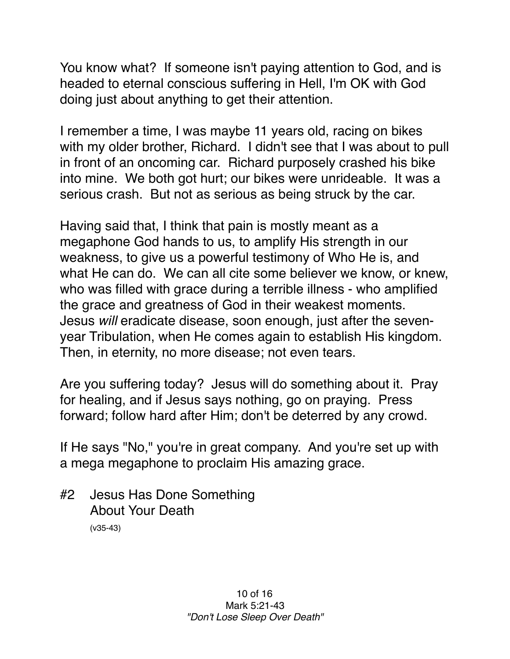You know what? If someone isn't paying attention to God, and is headed to eternal conscious suffering in Hell, I'm OK with God doing just about anything to get their attention.

I remember a time, I was maybe 11 years old, racing on bikes with my older brother, Richard. I didn't see that I was about to pull in front of an oncoming car. Richard purposely crashed his bike into mine. We both got hurt; our bikes were unrideable. It was a serious crash. But not as serious as being struck by the car.

Having said that, I think that pain is mostly meant as a megaphone God hands to us, to amplify His strength in our weakness, to give us a powerful testimony of Who He is, and what He can do. We can all cite some believer we know, or knew, who was filled with grace during a terrible illness - who amplified the grace and greatness of God in their weakest moments. Jesus *will* eradicate disease, soon enough, just after the sevenyear Tribulation, when He comes again to establish His kingdom. Then, in eternity, no more disease; not even tears.

Are you suffering today? Jesus will do something about it. Pray for healing, and if Jesus says nothing, go on praying. Press forward; follow hard after Him; don't be deterred by any crowd.

If He says "No," you're in great company. And you're set up with a mega megaphone to proclaim His amazing grace.

#2 Jesus Has Done Something About Your Death (v35-43)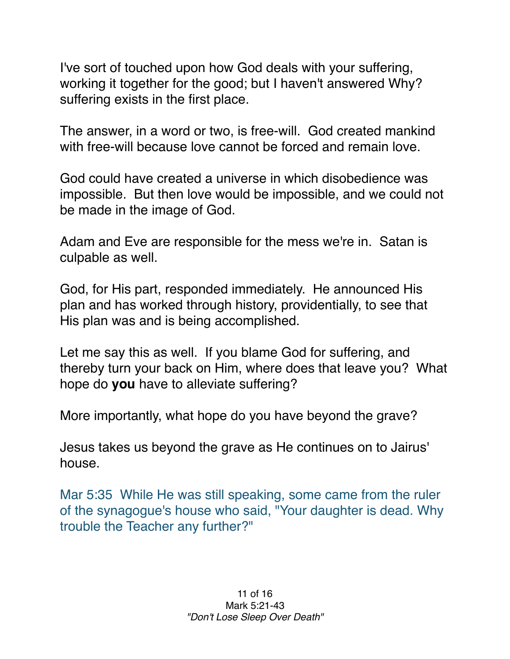I've sort of touched upon how God deals with your suffering, working it together for the good; but I haven't answered Why? suffering exists in the first place.

The answer, in a word or two, is free-will. God created mankind with free-will because love cannot be forced and remain love.

God could have created a universe in which disobedience was impossible. But then love would be impossible, and we could not be made in the image of God.

Adam and Eve are responsible for the mess we're in. Satan is culpable as well.

God, for His part, responded immediately. He announced His plan and has worked through history, providentially, to see that His plan was and is being accomplished.

Let me say this as well. If you blame God for suffering, and thereby turn your back on Him, where does that leave you? What hope do **you** have to alleviate suffering?

More importantly, what hope do you have beyond the grave?

Jesus takes us beyond the grave as He continues on to Jairus' house.

Mar 5:35 While He was still speaking, some came from the ruler of the synagogue's house who said, "Your daughter is dead. Why trouble the Teacher any further?"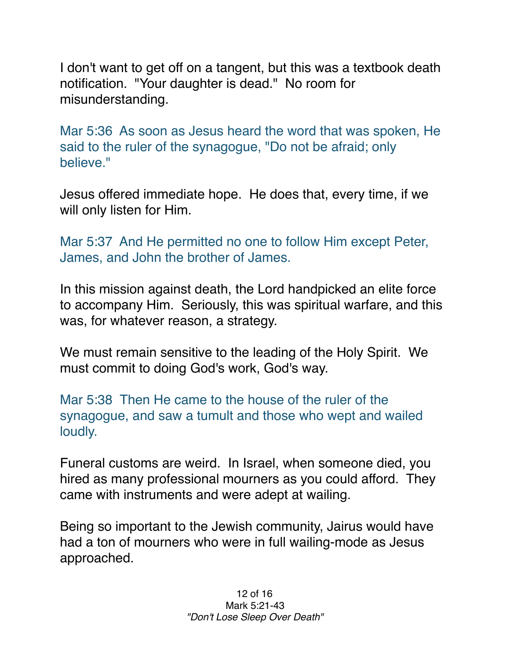I don't want to get off on a tangent, but this was a textbook death notification. "Your daughter is dead." No room for misunderstanding.

Mar 5:36 As soon as Jesus heard the word that was spoken, He said to the ruler of the synagogue, "Do not be afraid; only believe."

Jesus offered immediate hope. He does that, every time, if we will only listen for Him.

Mar 5:37 And He permitted no one to follow Him except Peter, James, and John the brother of James.

In this mission against death, the Lord handpicked an elite force to accompany Him. Seriously, this was spiritual warfare, and this was, for whatever reason, a strategy.

We must remain sensitive to the leading of the Holy Spirit. We must commit to doing God's work, God's way.

Mar 5:38 Then He came to the house of the ruler of the synagogue, and saw a tumult and those who wept and wailed loudly.

Funeral customs are weird. In Israel, when someone died, you hired as many professional mourners as you could afford. They came with instruments and were adept at wailing.

Being so important to the Jewish community, Jairus would have had a ton of mourners who were in full wailing-mode as Jesus approached.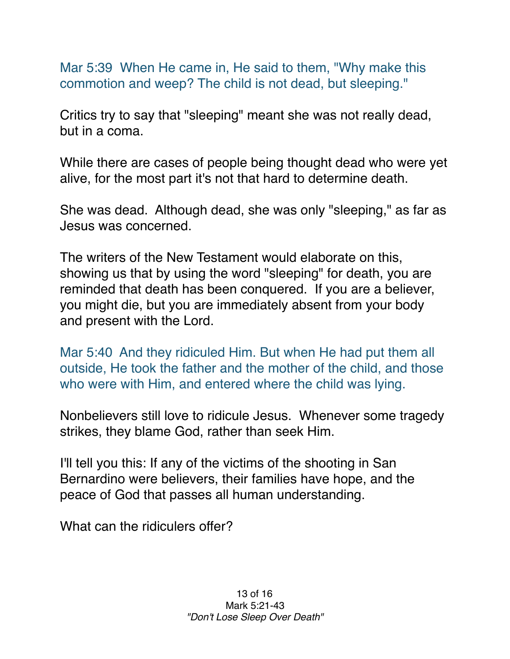Mar 5:39 When He came in, He said to them, "Why make this commotion and weep? The child is not dead, but sleeping."

Critics try to say that "sleeping" meant she was not really dead, but in a coma.

While there are cases of people being thought dead who were yet alive, for the most part it's not that hard to determine death.

She was dead. Although dead, she was only "sleeping," as far as Jesus was concerned.

The writers of the New Testament would elaborate on this, showing us that by using the word "sleeping" for death, you are reminded that death has been conquered. If you are a believer, you might die, but you are immediately absent from your body and present with the Lord.

Mar 5:40 And they ridiculed Him. But when He had put them all outside, He took the father and the mother of the child, and those who were with Him, and entered where the child was lying.

Nonbelievers still love to ridicule Jesus. Whenever some tragedy strikes, they blame God, rather than seek Him.

I'll tell you this: If any of the victims of the shooting in San Bernardino were believers, their families have hope, and the peace of God that passes all human understanding.

What can the ridiculers offer?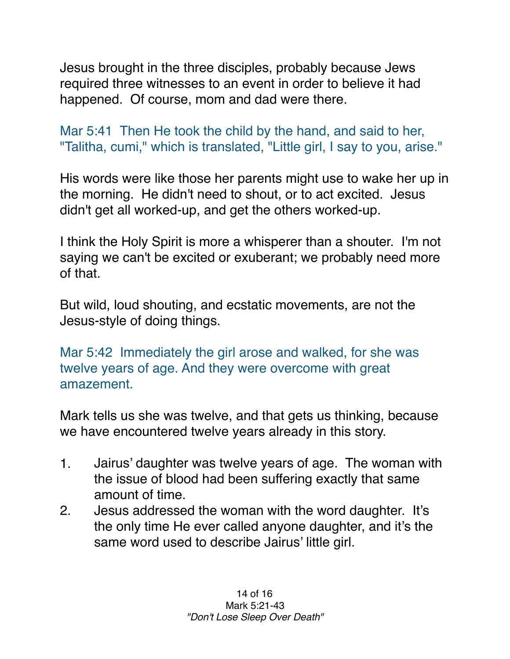Jesus brought in the three disciples, probably because Jews required three witnesses to an event in order to believe it had happened. Of course, mom and dad were there.

Mar 5:41 Then He took the child by the hand, and said to her, "Talitha, cumi," which is translated, "Little girl, I say to you, arise."

His words were like those her parents might use to wake her up in the morning. He didn't need to shout, or to act excited. Jesus didn't get all worked-up, and get the others worked-up.

I think the Holy Spirit is more a whisperer than a shouter. I'm not saying we can't be excited or exuberant; we probably need more of that.

But wild, loud shouting, and ecstatic movements, are not the Jesus-style of doing things.

Mar 5:42 Immediately the girl arose and walked, for she was twelve years of age. And they were overcome with great amazement.

Mark tells us she was twelve, and that gets us thinking, because we have encountered twelve years already in this story.

- 1. Jairus' daughter was twelve years of age. The woman with the issue of blood had been suffering exactly that same amount of time.
- 2. Jesus addressed the woman with the word daughter. It's the only time He ever called anyone daughter, and it's the same word used to describe Jairus' little girl.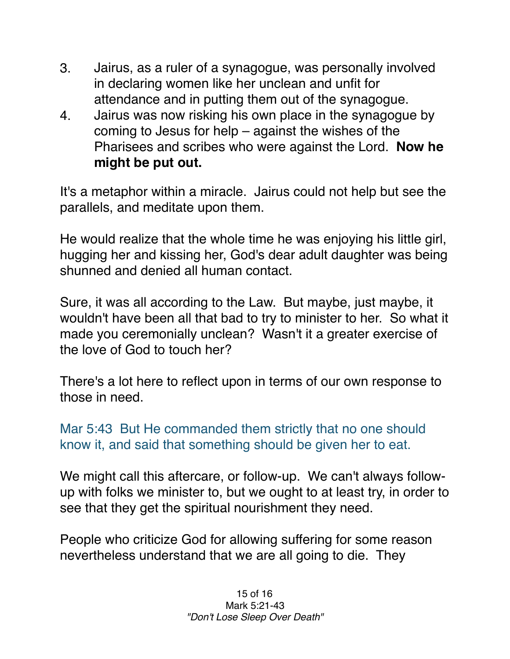- 3. Jairus, as a ruler of a synagogue, was personally involved in declaring women like her unclean and unfit for attendance and in putting them out of the synagogue.
- 4. Jairus was now risking his own place in the synagogue by coming to Jesus for help – against the wishes of the Pharisees and scribes who were against the Lord. **Now he might be put out.**

It's a metaphor within a miracle. Jairus could not help but see the parallels, and meditate upon them.

He would realize that the whole time he was enjoying his little girl, hugging her and kissing her, God's dear adult daughter was being shunned and denied all human contact.

Sure, it was all according to the Law. But maybe, just maybe, it wouldn't have been all that bad to try to minister to her. So what it made you ceremonially unclean? Wasn't it a greater exercise of the love of God to touch her?

There's a lot here to reflect upon in terms of our own response to those in need.

Mar 5:43 But He commanded them strictly that no one should know it, and said that something should be given her to eat.

We might call this aftercare, or follow-up. We can't always followup with folks we minister to, but we ought to at least try, in order to see that they get the spiritual nourishment they need.

People who criticize God for allowing suffering for some reason nevertheless understand that we are all going to die. They